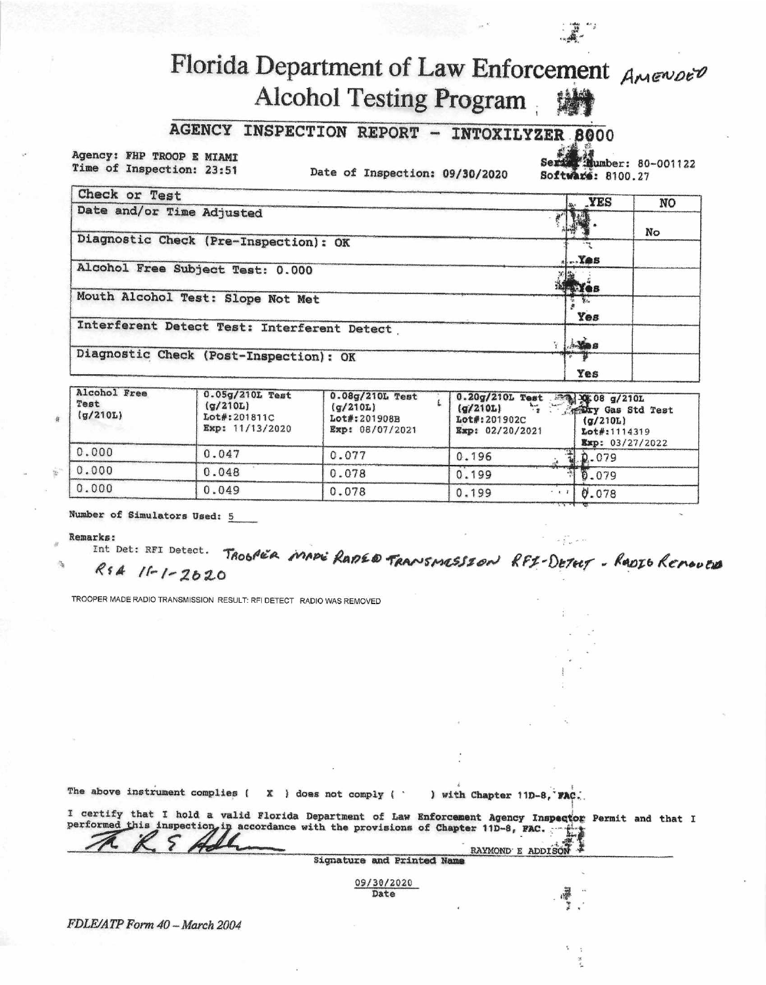## Florida Department of Law Enforcement AMENDED Alcohol Testing Program

## AGENCY INSPECTION REPORT - INTOXILYZER 8000

Agency: FHP TROOP E MIAMI Time of Inspection: 23:51

Date of Inspection: 09/30/2020

Mumber: 80-001122 Ser Software: 8100.27

| Check or Test                               | " YES              | NO. |
|---------------------------------------------|--------------------|-----|
| Date and/or Time Adjusted                   | N                  |     |
| Diagnostic Check (Pre-Inspection): OK       |                    | No  |
| Alcohol Free Subject Test: 0.000            | $\mathbf{L}$ . Yes |     |
| Mouth Alcohol Test: Slope Not Met           | <b>ENGS</b>        |     |
|                                             | Yes                |     |
| Interferent Detect Test: Interferent Detect | <b>Avies</b>       |     |
| Diagnostic Check (Post-Inspection): OK      |                    |     |
|                                             | Yes                |     |

| Alcohol Free<br>Test<br>(g/210L) | $0.05g/210L$ Test<br>(q/210L)<br>Lot#:201811C<br>Exp: 11/13/2020 | 0.08g/210L Test<br>(q/210L)<br>Lot#:201908B<br>Exp: 08/07/2021 | 0.20g/210L Test 34 XX 08 g/210L<br><b>Figure</b> Gas Std Test<br>(q/210L)<br>Lot#:201902C<br>(q/210L)<br>Exp: 02/20/2021<br>Lot#:1114319<br>$x_{\text{SD}}$ : 03/27/2022 |                              |
|----------------------------------|------------------------------------------------------------------|----------------------------------------------------------------|--------------------------------------------------------------------------------------------------------------------------------------------------------------------------|------------------------------|
| 0.000                            | 0.047                                                            | 0.077                                                          | 0.196                                                                                                                                                                    | $\frac{1}{2}$ , $\rho$ , 079 |
| 0.000                            | 0.048                                                            | 0.078                                                          | 0.199                                                                                                                                                                    | 10.079                       |
| 0.000                            | 0.049                                                            | 0.078                                                          | 0.199                                                                                                                                                                    | 0.078                        |

Number of Simulators Used: 5

## **Remarks:**

Int Det: RFI Detect. TROGAER MADE RADED TRANSMESSION RFI-DETELT - RADIO REMOVED RSA 11-1-2020

TROOPER MADE RADIO TRANSMISSION RESULT: RFI DETECT RADIO WAS REMOVED

The above instrument complies ( $X$  ) does not comply ( $\cdot$ ) with Chapter 11D-8, FAC.

I certify that I hold a valid Florida Department of Law Enforcement Agency Inspector Permit and that I performed this inspection, in accordance with the provisions of Chapter 11D-8, FAC. ۰ę. RAYMOND E ADDISON

**Signature and Printed Nam** 09/30/2020

Date

FDLE/ATP Form 40 - March 2004